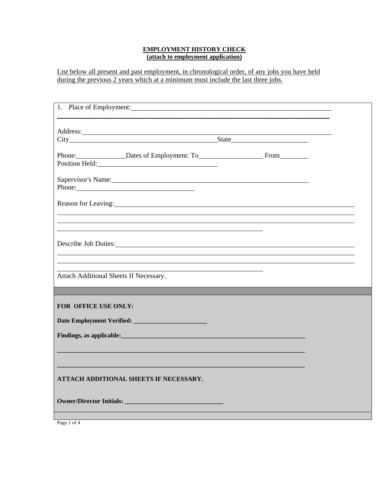## **EMPLOYMENT HISTORY CHECK (attach to employment application)**

List below all present and past employment, in chronological order, of any jobs you have held during the previous 2 years which at a minimum must include the last three jobs.

| Phone: Dates of Employment: To From                                                                                                                                                                                           |  |  |  |
|-------------------------------------------------------------------------------------------------------------------------------------------------------------------------------------------------------------------------------|--|--|--|
|                                                                                                                                                                                                                               |  |  |  |
| Supervisor's Name: Manual Communication of the Supervisor's Name:                                                                                                                                                             |  |  |  |
| Phone:                                                                                                                                                                                                                        |  |  |  |
| Reason for Leaving: 1988. The Contract of Leaving Contract of Leaving Contract of Leaving Contract of Leaving Contract of Leaving Contract of Leaving Contract of Leaving Contract of Leaving Contract of Leaving Contract of |  |  |  |
|                                                                                                                                                                                                                               |  |  |  |
|                                                                                                                                                                                                                               |  |  |  |
|                                                                                                                                                                                                                               |  |  |  |
| Describe Job Duties:                                                                                                                                                                                                          |  |  |  |
|                                                                                                                                                                                                                               |  |  |  |
| Attach Additional Sheets If Necessary.                                                                                                                                                                                        |  |  |  |
|                                                                                                                                                                                                                               |  |  |  |
|                                                                                                                                                                                                                               |  |  |  |
| FOR OFFICE USE ONLY:                                                                                                                                                                                                          |  |  |  |
|                                                                                                                                                                                                                               |  |  |  |
|                                                                                                                                                                                                                               |  |  |  |
|                                                                                                                                                                                                                               |  |  |  |
|                                                                                                                                                                                                                               |  |  |  |
|                                                                                                                                                                                                                               |  |  |  |
| ATTACH ADDITIONAL SHEETS IF NECESSARY.                                                                                                                                                                                        |  |  |  |
|                                                                                                                                                                                                                               |  |  |  |
|                                                                                                                                                                                                                               |  |  |  |
|                                                                                                                                                                                                                               |  |  |  |

Page 1 of 4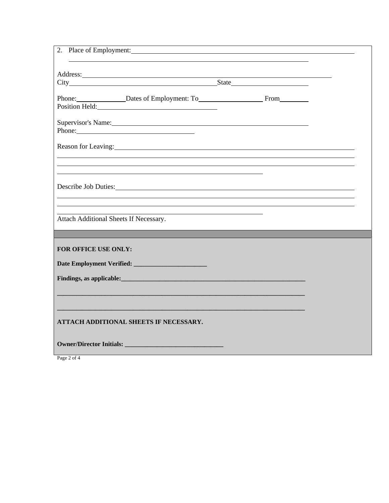| 2. Place of Employment: 2008 and 2008 and 2008 and 2008 and 2008 and 2008 and 2008 and 2008 and 2008 and 2008 and 2008 and 2008 and 2008 and 2008 and 2008 and 2008 and 2008 and 2008 and 2008 and 2008 and 2008 and 2008 and        |  |  |
|--------------------------------------------------------------------------------------------------------------------------------------------------------------------------------------------------------------------------------------|--|--|
|                                                                                                                                                                                                                                      |  |  |
|                                                                                                                                                                                                                                      |  |  |
| Phone: Dates of Employment: To From                                                                                                                                                                                                  |  |  |
| Position Held: 2000 and 2000 and 2000 and 2000 and 2000 and 2000 and 2000 and 2000 and 2000 and 200                                                                                                                                  |  |  |
| Phone: 2008 Contract and the contract of the contract of the contract of the contract of the contract of the contract of the contract of the contract of the contract of the contract of the contract of the contract of the c       |  |  |
| Reason for Leaving: New York Changes and Section 2014 and 2015 and 2016 and 2017 and 2017 and 2017 and 2017 and 2017 and 2017 and 2017 and 2017 and 2017 and 2017 and 2017 and 2017 and 2017 and 2017 and 2017 and 2017 and 20       |  |  |
|                                                                                                                                                                                                                                      |  |  |
|                                                                                                                                                                                                                                      |  |  |
| Describe Job Duties:                                                                                                                                                                                                                 |  |  |
|                                                                                                                                                                                                                                      |  |  |
| Attach Additional Sheets If Necessary.                                                                                                                                                                                               |  |  |
|                                                                                                                                                                                                                                      |  |  |
|                                                                                                                                                                                                                                      |  |  |
| FOR OFFICE USE ONLY:                                                                                                                                                                                                                 |  |  |
|                                                                                                                                                                                                                                      |  |  |
| Findings, as applicable: <u>contract the contract of the contract of the contract of the contract of the contract of the contract of the contract of the contract of the contract of the contract of the contract of the contrac</u> |  |  |
|                                                                                                                                                                                                                                      |  |  |
|                                                                                                                                                                                                                                      |  |  |
|                                                                                                                                                                                                                                      |  |  |
| ATTACH ADDITIONAL SHEETS IF NECESSARY.                                                                                                                                                                                               |  |  |
|                                                                                                                                                                                                                                      |  |  |

Page 2 of 4